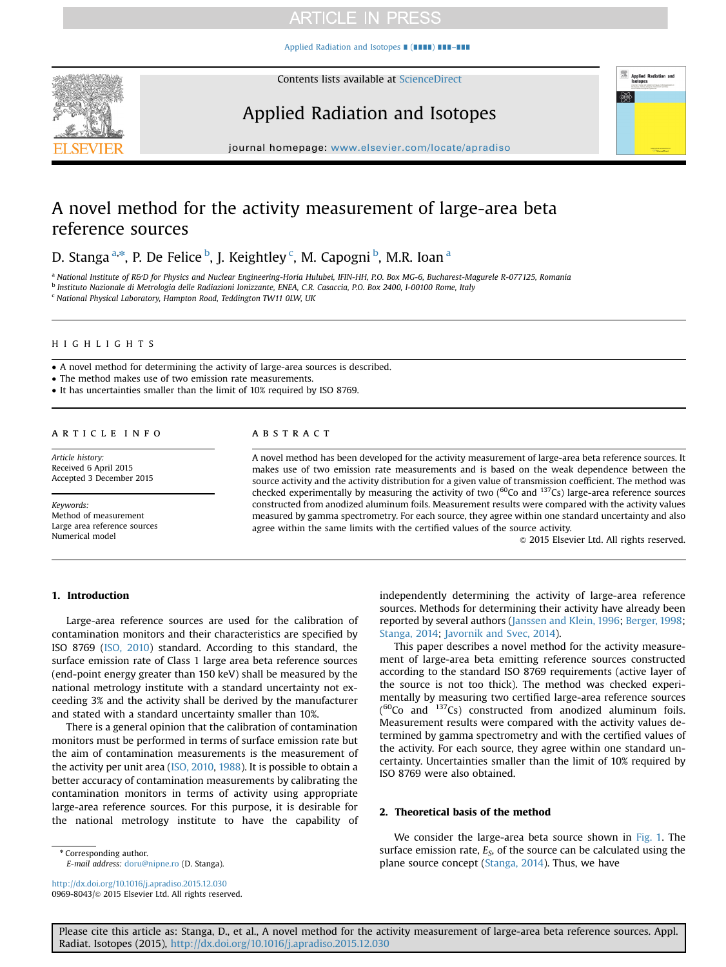[Applied Radiation and Isotopes](http://dx.doi.org/10.1016/j.apradiso.2015.12.030) ∎ (∎∎∎∎) ∎∎∎–∎∎∎



Contents lists available at [ScienceDirect](www.sciencedirect.com/science/journal/09698043)

# Applied Radiation and Isotopes



journal homepage: <www.elsevier.com/locate/apradiso>

# A novel method for the activity measurement of large-area beta reference sources

D. Stanga <sup>a,\*</sup>, P. De Felice <sup>b</sup>, J. Keightley <sup>c</sup>, M. Capogni <sup>b</sup>, M.R. Ioan <sup>a</sup>

<sup>a</sup> National Institute of R&D for Physics and Nuclear Engineering-Horia Hulubei, IFIN-HH, P.O. Box MG-6, Bucharest-Magurele R-077125, Romania <sup>b</sup> Instituto Nazionale di Metrologia delle Radiazioni Ionizzante, ENEA, C.R. Casaccia, P.O. Box 2400, I-00100 Rome, Italy

<sup>c</sup> National Physical Laboratory, Hampton Road, Teddington TW11 0LW, UK

## HIGHLIGHTS

A novel method for determining the activity of large-area sources is described.

The method makes use of two emission rate measurements.

• It has uncertainties smaller than the limit of 10% required by ISO 8769.

### article info

Article history: Received 6 April 2015 Accepted 3 December 2015

Keywords: Method of measurement Large area reference sources Numerical model

#### **ABSTRACT**

A novel method has been developed for the activity measurement of large-area beta reference sources. It makes use of two emission rate measurements and is based on the weak dependence between the source activity and the activity distribution for a given value of transmission coefficient. The method was checked experimentally by measuring the activity of two ( $^{60}$ Co and  $^{137}$ Cs) large-area reference sources constructed from anodized aluminum foils. Measurement results were compared with the activity values measured by gamma spectrometry. For each source, they agree within one standard uncertainty and also agree within the same limits with the certified values of the source activity.

 $@$  2015 Elsevier Ltd. All rights reserved.

#### 1. Introduction

Large-area reference sources are used for the calibration of contamination monitors and their characteristics are specified by ISO 8769 [\(ISO, 2010\)](#page-4-0) standard. According to this standard, the surface emission rate of Class 1 large area beta reference sources (end-point energy greater than 150 keV) shall be measured by the national metrology institute with a standard uncertainty not exceeding 3% and the activity shall be derived by the manufacturer and stated with a standard uncertainty smaller than 10%.

There is a general opinion that the calibration of contamination monitors must be performed in terms of surface emission rate but the aim of contamination measurements is the measurement of the activity per unit area [\(ISO, 2010](#page-4-0), [1988\)](#page-4-0). It is possible to obtain a better accuracy of contamination measurements by calibrating the contamination monitors in terms of activity using appropriate large-area reference sources. For this purpose, it is desirable for the national metrology institute to have the capability of

\* Corresponding author.

E-mail address: [doru@nipne.ro](mailto:doru@nipne.ro) (D. Stanga).

<http://dx.doi.org/10.1016/j.apradiso.2015.12.030> 0969-8043/© 2015 Elsevier Ltd. All rights reserved. independently determining the activity of large-area reference sources. Methods for determining their activity have already been reported by several authors [\(Janssen and Klein, 1996;](#page-4-0) [Berger, 1998;](#page-4-0) [Stanga, 2014;](#page-4-0) [Javornik and Svec, 2014\)](#page-4-0).

This paper describes a novel method for the activity measurement of large-area beta emitting reference sources constructed according to the standard ISO 8769 requirements (active layer of the source is not too thick). The method was checked experimentally by measuring two certified large-area reference sources  $( {}^{60}Co$  and  $137Cs)$  constructed from anodized aluminum foils. Measurement results were compared with the activity values determined by gamma spectrometry and with the certified values of the activity. For each source, they agree within one standard uncertainty. Uncertainties smaller than the limit of 10% required by ISO 8769 were also obtained.

#### 2. Theoretical basis of the method

We consider the large-area beta source shown in [Fig. 1](#page-1-0). The surface emission rate,  $E<sub>S</sub>$ , of the source can be calculated using the plane source concept [\(Stanga, 2014](#page-4-0)). Thus, we have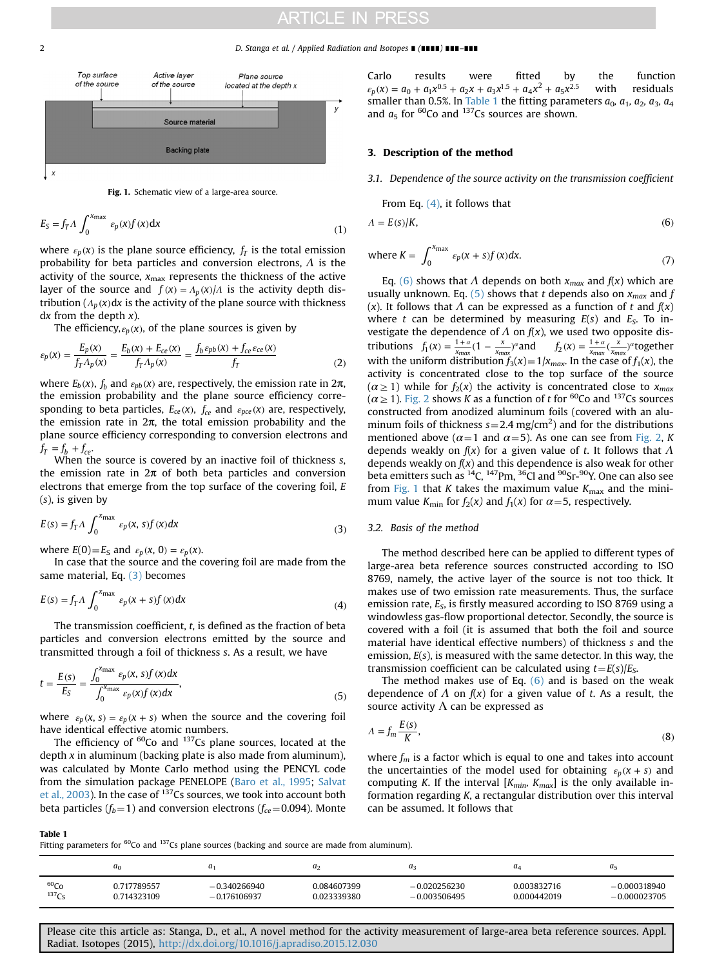#### <span id="page-1-0"></span>2 D. Stanga et al. / Applied Radiation and Isotopes ∎ (∎∎∎∎) ∎∎∎–∎∎∎





$$
E_S = f_T \Lambda \int_0^{x_{\text{max}}} \epsilon_p(x) f(x) dx
$$
 (1)

where  $\varepsilon_p(x)$  is the plane source efficiency,  $f_T$  is the total emission probability for beta particles and conversion electrons,  $\Lambda$  is the activity of the source,  $x_{\text{max}}$  represents the thickness of the active layer of the source and  $f(x) = A_n(x) / A$  is the activity depth distribution  $(A_p(x)dx$  is the activity of the plane source with thickness dx from the depth  $x$ ).

The efficiency, $\varepsilon_p(x)$ , of the plane sources is given by

$$
\varepsilon_p(x) = \frac{E_p(x)}{f_T \Lambda_p(x)} = \frac{E_b(x) + E_{ce}(x)}{f_T \Lambda_p(x)} = \frac{f_b \varepsilon_{pb}(x) + f_{ce} \varepsilon_{ce}(x)}{f_T}
$$
(2)

where  $E_b(x)$ ,  $f_b$  and  $ε_{pb}(x)$  are, respectively, the emission rate in 2π, the emission probability and the plane source efficiency corresponding to beta particles,  $E_{ce}(x)$ ,  $f_{ce}$  and  $\varepsilon_{pce}(x)$  are, respectively, the emission rate in  $2π$ , the total emission probability and the plane source efficiency corresponding to conversion electrons and  $f_T = f_b + f_{ce}$ .

When the source is covered by an inactive foil of thickness s, the emission rate in  $2\pi$  of both beta particles and conversion electrons that emerge from the top surface of the covering foil, E (s), is given by

$$
E(s) = f_T \Lambda \int_0^{x_{\text{max}}} \varepsilon_p(x, s) f(x) dx
$$
 (3)

where  $E(0) = E_S$  and  $\varepsilon_p(x, 0) = \varepsilon_p(x)$ .

In case that the source and the covering foil are made from the same material, Eq. (3) becomes

$$
E(s) = f_T \Lambda \int_0^{x_{\text{max}}} \varepsilon_p(x+s) f(x) dx \tag{4}
$$

The transmission coefficient, t, is defined as the fraction of beta particles and conversion electrons emitted by the source and transmitted through a foil of thickness s. As a result, we have

$$
t = \frac{E(s)}{E_S} = \frac{\int_0^{x_{\text{max}}} \varepsilon_p(x, s) f(x) dx}{\int_0^{x_{\text{max}}} \varepsilon_p(x) f(x) dx},
$$
\n(5)

where  $\varepsilon_p(x, s) = \varepsilon_p(x + s)$  when the source and the covering foil have identical effective atomic numbers.

The efficiency of  ${}^{60}$ Co and  ${}^{137}$ Cs plane sources, located at the depth  $x$  in aluminum (backing plate is also made from aluminum), was calculated by Monte Carlo method using the PENCYL code from the simulation package PENELOPE ([Baro et al., 1995](#page-4-0); [Salvat](#page-4-0) [et al., 2003\)](#page-4-0). In the case of 137Cs sources, we took into account both beta particles ( $f_b$ =1) and conversion electrons ( $f_{ce}$ =0.094). Monte Carlo results were fitted by the function  $\varepsilon_p$  (x) =  $a_0 + a_1 x^{0.5} + a_2 x + a_3 x^{1.5} + a_4 x^2 + a_5 x^{2.5}$  with residuals smaller than 0.5%. In Table 1 the fitting parameters  $a_0$ ,  $a_1$ ,  $a_2$ ,  $a_3$ ,  $a_4$ and  $a_5$  for <sup>60</sup>Co and <sup>137</sup>Cs sources are shown.

#### 3. Description of the method

3.1. Dependence of the source activity on the transmission coefficient

From Eq.  $(4)$ , it follows that

$$
\Lambda = E(s)/K,\tag{6}
$$

where 
$$
K = \int_0^{x_{\text{max}}} \varepsilon_p(x + s) f(x) dx.
$$
 (7)

Eq. (6) shows that  $\Lambda$  depends on both  $x_{max}$  and  $f(x)$  which are usually unknown. Eq. (5) shows that t depends also on  $x_{max}$  and f (x). It follows that  $\Lambda$  can be expressed as a function of t and  $f(x)$ where t can be determined by measuring  $E(s)$  and  $E<sub>S</sub>$ . To investigate the dependence of  $\Lambda$  on  $f(x)$ , we used two opposite distributions  $f_1(x) = \frac{1+\alpha}{x_{max}} (1 - \frac{x}{x_{max}})^{\alpha}$  and  $f_2(x) = \frac{1+\alpha}{x_{max}} (\frac{x}{x_{max}})^{\alpha}$  together with the uniform distribution  $f_3(x) = 1/x_{max}$ . In the case of  $f_1(x)$ , the activity is concentrated close to the top surface of the source  $(\alpha \geq 1)$  while for  $f_2(x)$  the activity is concentrated close to  $x_{max}$  $(\alpha \geq 1)$ . [Fig. 2](#page-2-0) shows K as a function of t for <sup>60</sup>Co and <sup>137</sup>Cs sources constructed from anodized aluminum foils (covered with an aluminum foils of thickness  $s = 2.4$  mg/cm<sup>2</sup>) and for the distributions mentioned above ( $\alpha$ =1 and  $\alpha$ =5). As one can see from [Fig. 2,](#page-2-0) K depends weakly on  $f(x)$  for a given value of t. It follows that  $\Lambda$ depends weakly on  $f(x)$  and this dependence is also weak for other beta emitters such as  ${}^{14}C$ ,  ${}^{147}Pm$ ,  ${}^{36}C$ l and  ${}^{90}Sr$ - ${}^{90}Y$ . One can also see from Fig. 1 that K takes the maximum value  $K_{\text{max}}$  and the minimum value  $K_{\text{min}}$  for  $f_2(x)$  and  $f_1(x)$  for  $\alpha = 5$ , respectively.

#### 3.2. Basis of the method

The method described here can be applied to different types of large-area beta reference sources constructed according to ISO 8769, namely, the active layer of the source is not too thick. It makes use of two emission rate measurements. Thus, the surface emission rate,  $E_s$ , is firstly measured according to ISO 8769 using a windowless gas-flow proportional detector. Secondly, the source is covered with a foil (it is assumed that both the foil and source material have identical effective numbers) of thickness s and the emission,  $E(s)$ , is measured with the same detector. In this way, the transmission coefficient can be calculated using  $t = E(s)/E_s$ .

The method makes use of Eq.  $(6)$  and is based on the weak dependence of  $\Lambda$  on  $f(x)$  for a given value of t. As a result, the source activity  $\Lambda$  can be expressed as

$$
A = f_m \frac{E(s)}{K},\tag{8}
$$

where  $f_m$  is a factor which is equal to one and takes into account the uncertainties of the model used for obtaining  $\varepsilon_p$  ( $x + s$ ) and computing K. If the interval  $[K_{min}, K_{max}]$  is the only available information regarding K, a rectangular distribution over this interval can be assumed. It follows that

Table 1

Fitting parameters for  ${}^{60}$ Co and  ${}^{137}$ Cs plane sources (backing and source are made from aluminum).

|                  | $a_0$       | a٠             | $a_2$       | a              | uΔ          | a <sub>5</sub> |
|------------------|-------------|----------------|-------------|----------------|-------------|----------------|
| 60 <sub>Co</sub> | ).717789557 | $-0.340266940$ | 0.084607399 | $-0.020256230$ | 0.003832716 | $-0.000318940$ |
| $137C_S$         | 0.714323109 | $-0.176106937$ | 0.023339380 | $-0.003506495$ | 0.000442019 | $-0.000023705$ |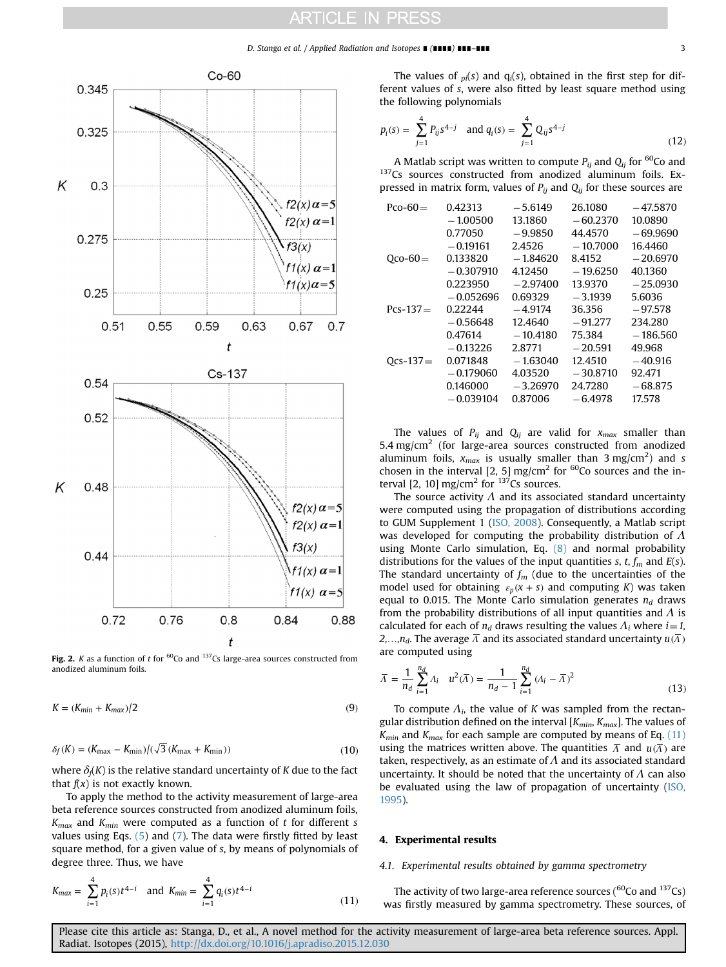#### D. Stanga et al. / Applied Radiation and Isotopes ∎ (∎∎∎∎) ∎∎∎–∎∎∎ 3

<span id="page-2-0"></span>

Fig. 2. K as a function of t for  ${}^{60}$ Co and  ${}^{137}$ Cs large-area sources constructed from anodized aluminum foils.

$$
K = (K_{min} + K_{max})/2
$$
\n(9)

$$
\delta_f(K) = (K_{\text{max}} - K_{\text{min}})/(\sqrt{3}(K_{\text{max}} + K_{\text{min}}))
$$
\n(10)

where  $\delta_f(K)$  is the relative standard uncertainty of K due to the fact that  $f(x)$  is not exactly known.

To apply the method to the activity measurement of large-area beta reference sources constructed from anodized aluminum foils,  $K_{max}$  and  $K_{min}$  were computed as a function of t for different s values using Eqs. [\(5\)](#page-1-0) and ([7\)](#page-1-0). The data were firstly fitted by least square method, for a given value of s, by means of polynomials of degree three. Thus, we have

$$
K_{max} = \sum_{i=1}^{4} p_i(s) t^{4-i} \text{ and } K_{min} = \sum_{i=1}^{4} q_i(s) t^{4-i}
$$
 (11)

The values of  $_{pi}(s)$  and  $q_i(s)$ , obtained in the first step for different values of s, were also fitted by least square method using the following polynomials

$$
p_i(s) = \sum_{j=1}^{4} P_{ij} s^{4-j} \quad \text{and } q_i(s) = \sum_{j=1}^{4} Q_{ij} s^{4-j}
$$
 (12)

A Matlab script was written to compute  $P_{ij}$  and  $Q_{ij}$  for <sup>60</sup>Co and <sup>137</sup>Cs sources constructed from anodized aluminum foils. Expressed in matrix form, values of  $P_{ij}$  and  $Q_{ij}$  for these sources are

| $PCO-60=$  | 0.42313     | $-5.6149$  | 26.1080    | $-47.5870$ |
|------------|-------------|------------|------------|------------|
|            | $-1.00500$  | 13.1860    | $-60.2370$ | 10.0890    |
|            | 0.77050     | $-9.9850$  | 44.4570    | $-69.9690$ |
|            | $-0.19161$  | 2.4526     | $-10.7000$ | 16.4460    |
| $Qco-60=$  | 0.133820    | $-1.84620$ | 8.4152     | $-20.6970$ |
|            | $-0.307910$ | 4.12450    | $-19.6250$ | 40.1360    |
|            | 0.223950    | $-2.97400$ | 13.9370    | $-25.0930$ |
|            | $-0.052696$ | 0.69329    | $-3.1939$  | 5.6036     |
| $Pcs-137=$ | 0.22244     | $-4.9174$  | 36.356     | $-97.578$  |
|            | $-0.56648$  | 12.4640    | $-91.277$  | 234.280    |
|            | 0.47614     | $-10.4180$ | 75.384     | $-186.560$ |
|            | $-0.13226$  | 2.8771     | $-20.591$  | 49.968     |
| $Ocs-137=$ | 0.071848    | $-1.63040$ | 12.4510    | $-40.916$  |
|            | $-0.179060$ | 4.03520    | $-30.8710$ | 92.471     |
|            | 0.146000    | $-3.26970$ | 24.7280    | $-68.875$  |
|            | $-0.039104$ | 0.87006    | $-6.4978$  | 17.578     |
|            |             |            |            |            |

The values of  $P_{ij}$  and  $Q_{ij}$  are valid for  $x_{max}$  smaller than 5.4 mg/cm<sup>2</sup> (for large-area sources constructed from anodized aluminum foils,  $x_{max}$  is usually smaller than 3 mg/cm<sup>2</sup>) and s chosen in the interval [2, 5] mg/cm<sup>2</sup> for  $^{60}$ Co sources and the interval [2, 10] mg/cm<sup>2</sup> for  $137$ Cs sources.

The source activity  $\Lambda$  and its associated standard uncertainty were computed using the propagation of distributions according to GUM Supplement 1 [\(ISO, 2008\)](#page-4-0). Consequently, a Matlab script was developed for computing the probability distribution of  $\Lambda$ using Monte Carlo simulation, Eq. [\(8\)](#page-1-0) and normal probability distributions for the values of the input quantities s, t,  $f_m$  and  $E(s)$ . The standard uncertainty of  $f_m$  (due to the uncertainties of the model used for obtaining  $\varepsilon_p$  ( $x + s$ ) and computing K) was taken equal to 0.015. The Monte Carlo simulation generates  $n_d$  draws from the probability distributions of all input quantities and  $\Lambda$  is calculated for each of  $n_d$  draws resulting the values  $\Lambda_i$  where  $i=1$ ,  $2, \ldots, n_d$ . The average  $\overline{\Lambda}$  and its associated standard uncertainty  $u(\overline{\Lambda})$ are computed using

$$
\overline{\Lambda} = \frac{1}{n_d} \sum_{i=1}^{n_d} \Lambda_i \quad u^2(\overline{\Lambda}) = \frac{1}{n_d - 1} \sum_{i=1}^{n_d} (\Lambda_i - \overline{\Lambda})^2
$$
\n(13)

To compute  $\Lambda_i$ , the value of K was sampled from the rectangular distribution defined on the interval  $[K_{min}, K_{max}]$ . The values of  $K_{min}$  and  $K_{max}$  for each sample are computed by means of Eq. (11) using the matrices written above. The quantities  $\overline{\Lambda}$  and  $u(\overline{\Lambda})$  are taken, respectively, as an estimate of  $\Lambda$  and its associated standard uncertainty. It should be noted that the uncertainty of  $\Lambda$  can also be evaluated using the law of propagation of uncertainty ([ISO,](#page-4-0) [1995](#page-4-0)).

#### 4. Experimental results

#### 4.1. Experimental results obtained by gamma spectrometry

The activity of two large-area reference sources ( ${}^{60}$ Co and  ${}^{137}$ Cs) was firstly measured by gamma spectrometry. These sources, of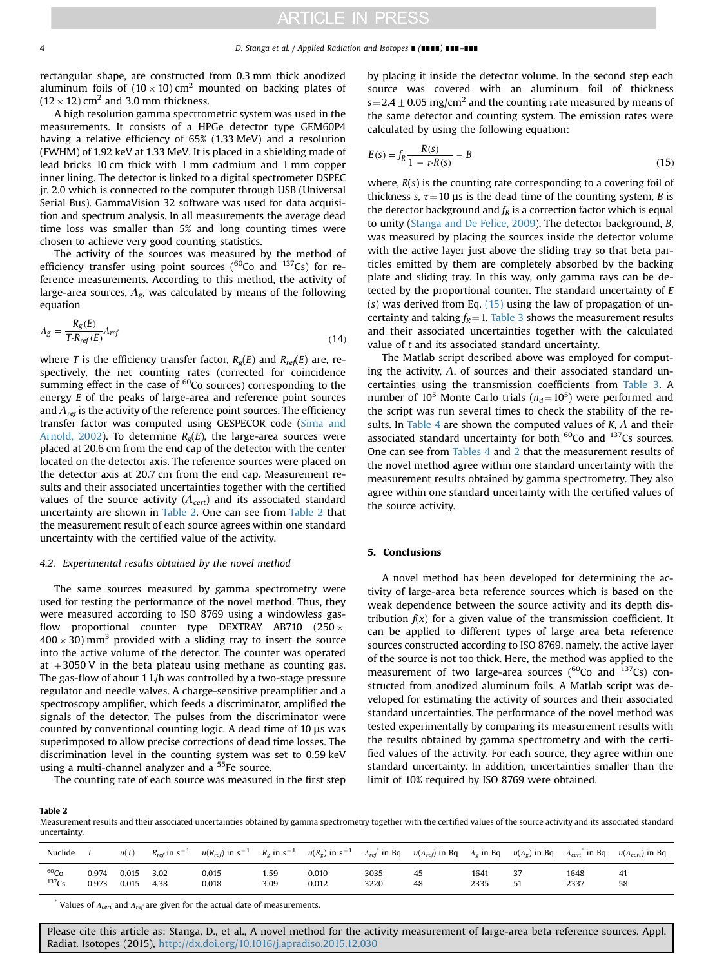rectangular shape, are constructed from 0.3 mm thick anodized aluminum foils of  $(10 \times 10)$  cm<sup>2</sup> mounted on backing plates of  $(12 \times 12)$  cm<sup>2</sup> and 3.0 mm thickness.

A high resolution gamma spectrometric system was used in the measurements. It consists of a HPGe detector type GEM60P4 having a relative efficiency of 65% (1.33 MeV) and a resolution (FWHM) of 1.92 keV at 1.33 MeV. It is placed in a shielding made of lead bricks 10 cm thick with 1 mm cadmium and 1 mm copper inner lining. The detector is linked to a digital spectrometer DSPEC jr. 2.0 which is connected to the computer through USB (Universal Serial Bus). GammaVision 32 software was used for data acquisition and spectrum analysis. In all measurements the average dead time loss was smaller than 5% and long counting times were chosen to achieve very good counting statistics.

The activity of the sources was measured by the method of efficiency transfer using point sources ( $^{60}$ Co and  $^{137}$ Cs) for reference measurements. According to this method, the activity of large-area sources,  $\Lambda_{\varrho}$ , was calculated by means of the following equation

$$
A_g = \frac{R_g(E)}{T \cdot R_{ref}(E)} A_{ref}
$$
\n(14)

where T is the efficiency transfer factor,  $R_g(E)$  and  $R_{ref}(E)$  are, respectively, the net counting rates (corrected for coincidence summing effect in the case of  $60C$  sources) corresponding to the energy E of the peaks of large-area and reference point sources and  $\Lambda_{ref}$  is the activity of the reference point sources. The efficiency transfer factor was computed using GESPECOR code ([Sima and](#page-4-0) [Arnold, 2002\)](#page-4-0). To determine  $R<sub>g</sub>(E)$ , the large-area sources were placed at 20.6 cm from the end cap of the detector with the center located on the detector axis. The reference sources were placed on the detector axis at 20.7 cm from the end cap. Measurement results and their associated uncertainties together with the certified values of the source activity  $(\Lambda_{cert})$  and its associated standard uncertainty are shown in Table 2. One can see from Table 2 that the measurement result of each source agrees within one standard uncertainty with the certified value of the activity.

### 4.2. Experimental results obtained by the novel method

The same sources measured by gamma spectrometry were used for testing the performance of the novel method. Thus, they were measured according to ISO 8769 using a windowless gasflow proportional counter type DEXTRAY AB710 (250  $\times$  $400 \times 30$ ) mm<sup>3</sup> provided with a sliding tray to insert the source into the active volume of the detector. The counter was operated at  $+3050$  V in the beta plateau using methane as counting gas. The gas-flow of about 1 L/h was controlled by a two-stage pressure regulator and needle valves. A charge-sensitive preamplifier and a spectroscopy amplifier, which feeds a discriminator, amplified the signals of the detector. The pulses from the discriminator were counted by conventional counting logic. A dead time of 10 μs was superimposed to allow precise corrections of dead time losses. The discrimination level in the counting system was set to 0.59 keV using a multi-channel analyzer and a <sup>55</sup>Fe source.

The counting rate of each source was measured in the first step

by placing it inside the detector volume. In the second step each source was covered with an aluminum foil of thickness  $s=2.4\pm0.05$  mg/cm<sup>2</sup> and the counting rate measured by means of the same detector and counting system. The emission rates were calculated by using the following equation:

$$
E(s) = f_R \frac{R(s)}{1 - \tau \cdot R(s)} - B
$$
\n(15)

where,  $R(s)$  is the counting rate corresponding to a covering foil of thickness s,  $\tau = 10$  μs is the dead time of the counting system, B is the detector background and  $f_R$  is a correction factor which is equal to unity [\(Stanga and De Felice, 2009](#page-4-0)). The detector background, B, was measured by placing the sources inside the detector volume with the active layer just above the sliding tray so that beta particles emitted by them are completely absorbed by the backing plate and sliding tray. In this way, only gamma rays can be detected by the proportional counter. The standard uncertainty of E (s) was derived from Eq.  $(15)$  using the law of propagation of uncertainty and taking  $f_R = 1$ . [Table 3](#page-4-0) shows the measurement results and their associated uncertainties together with the calculated value of t and its associated standard uncertainty.

The Matlab script described above was employed for computing the activity,  $\Lambda$ , of sources and their associated standard uncertainties using the transmission coefficients from [Table 3.](#page-4-0) A number of 10<sup>5</sup> Monte Carlo trials ( $n_d$ =10<sup>5</sup>) were performed and the script was run several times to check the stability of the re-sults. In [Table 4](#page-4-0) are shown the computed values of  $K$ ,  $\Lambda$  and their associated standard uncertainty for both  $^{60}$ Co and  $^{137}$ Cs sources. One can see from [Tables 4](#page-4-0) and 2 that the measurement results of the novel method agree within one standard uncertainty with the measurement results obtained by gamma spectrometry. They also agree within one standard uncertainty with the certified values of the source activity.

## 5. Conclusions

A novel method has been developed for determining the activity of large-area beta reference sources which is based on the weak dependence between the source activity and its depth distribution  $f(x)$  for a given value of the transmission coefficient. It can be applied to different types of large area beta reference sources constructed according to ISO 8769, namely, the active layer of the source is not too thick. Here, the method was applied to the measurement of two large-area sources ( $^{60}$ Co and  $^{137}$ Cs) constructed from anodized aluminum foils. A Matlab script was developed for estimating the activity of sources and their associated standard uncertainties. The performance of the novel method was tested experimentally by comparing its measurement results with the results obtained by gamma spectrometry and with the certified values of the activity. For each source, they agree within one standard uncertainty. In addition, uncertainties smaller than the limit of 10% required by ISO 8769 were obtained.

Table 2

Measurement results and their associated uncertainties obtained by gamma spectrometry together with the certified values of the source activity and its associated standard uncertainty.

| Nuclide          |       | u(T)  | $R_{ref}$ in s <sup>-1</sup> | $u(R_{ref})$ in s <sup>-1</sup> | $R_{\rm g}$ in s <sup>-1</sup> | $u(R_g)$ in s <sup>-1</sup> | $A_{ref}$ in Bq | $u(\Lambda_{ref})$ in Bq | $A_g$ in Bq | $u(\Lambda_g)$ in Bq | $A_{cert}$ in Bq | $u(\Lambda_{cert})$ in Bq |
|------------------|-------|-------|------------------------------|---------------------------------|--------------------------------|-----------------------------|-----------------|--------------------------|-------------|----------------------|------------------|---------------------------|
| 60 <sub>Co</sub> | 0.974 | 0.015 | 3.02                         | 0.015                           | 59.،                           | 0.010                       | 3035            | 45                       | 1641        | 37                   | 1648             | 41                        |
| $137$ Cs         | 0.973 | 0.015 | 4.38                         | 0.018                           | 3.09                           | 0.012                       | 3220            | 48                       | 2335        | 51                   | 2337             | 58                        |

\* Values of  $\Lambda_{cert}$  and  $\Lambda_{ref}$  are given for the actual date of measurements.